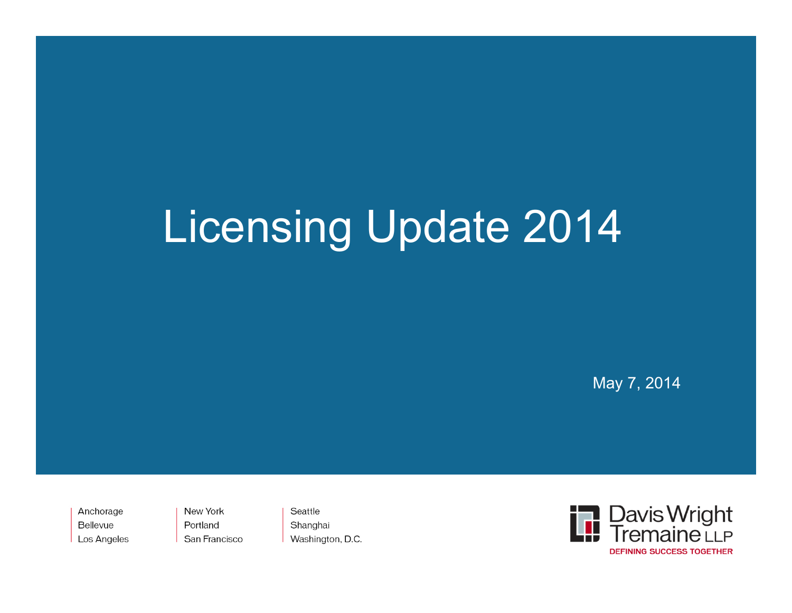# Licensing Update 2014

May 7, 2014

Anchorage Bellevue Los Angeles New York Portland San Francisco

Seattle Shanghai Washington, D.C.

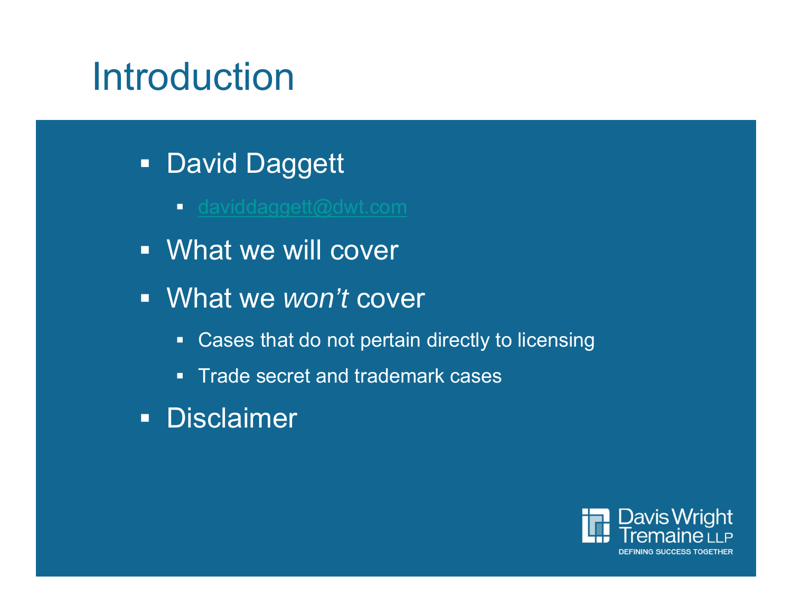# Introduction

- **David Daggett** 
	- <u>- daviddaggett@dwt.com</u>
- What we will cover
- What we *won't* cover
	- Cases that do not pertain directly to licensing
	- **Trade secret and trademark cases**
- **Disclaimer**

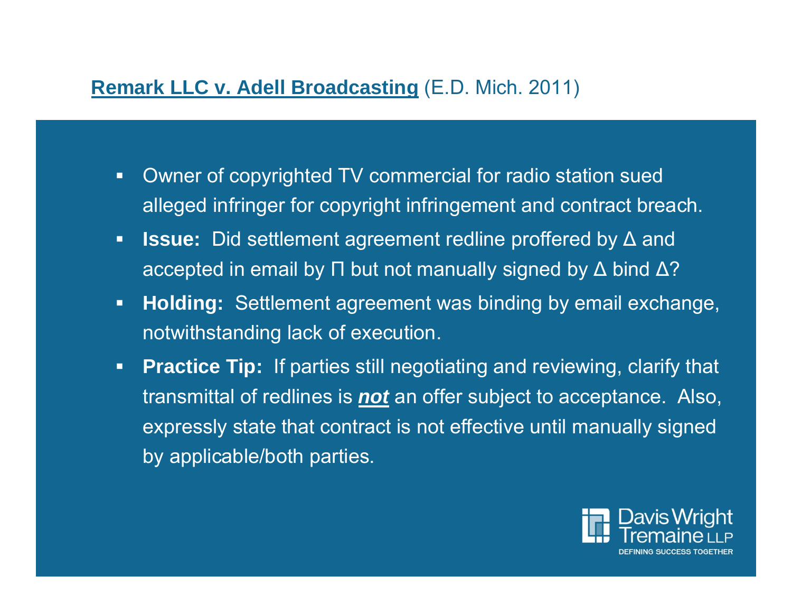# **Remark LLC v. Adell Broadcasting** (E.D. Mich. 2011)

- $\blacksquare$  Owner of copyrighted TV commercial for radio station sued alleged infringer for copyright infringement and contract breach.
- **Issue:** Did settlement agreement redline proffered by ∆ and accepted in email by Π but not manually signed by Δ bind Δ?
- $\blacksquare$  **Holding:** Settlement agreement was binding by email exchange, notwithstanding lack of execution.
- $\blacksquare$  **Practice Tip:** If parties still negotiating and reviewing, clarify that transmittal of redlines is *not* an offer subject to acceptance. Also, expressly state that contract is not effective until manually signed by applicable/both parties.

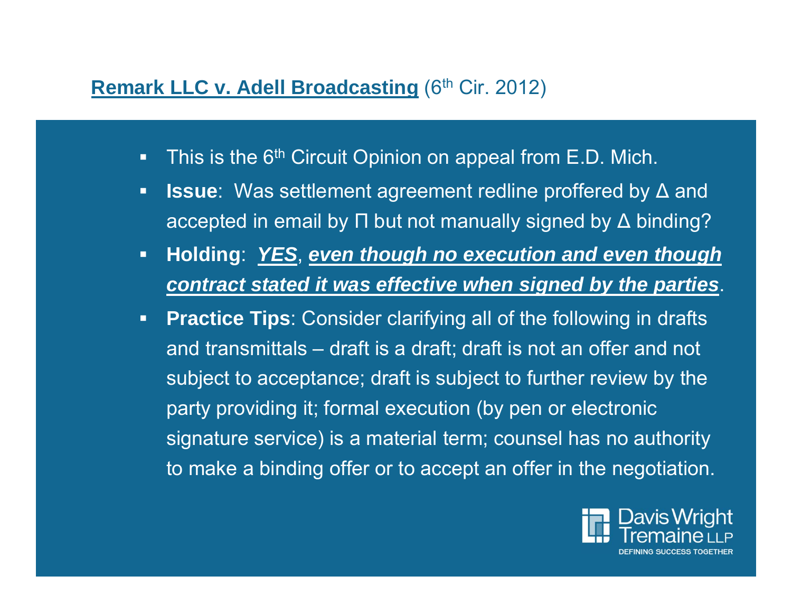# **Remark LLC v. Adell Broadcasting (6th Cir. 2012)**

- $\blacksquare$ This is the 6<sup>th</sup> Circuit Opinion on appeal from E.D. Mich.
- $\blacksquare$ ■ **Issue**: Was settlement agreement redline proffered by Δ and accepted in email by Π but not manually signed by ∆ binding?
- $\mathbf{E}$  **Holding**: *YES*, *even though no execution and even though contract stated it was effective when signed by the parties*.
- $\mathbf{E}$  **Practice Tips**: Consider clarifying all of the following in drafts and transmittals – draft is a draft; draft is not an offer and not subject to acceptance; draft is subject to further review by the party providing it; formal execution (by pen or electronic signature service) is a material term; counsel has no authority to make a binding offer or to accept an offer in the negotiation.

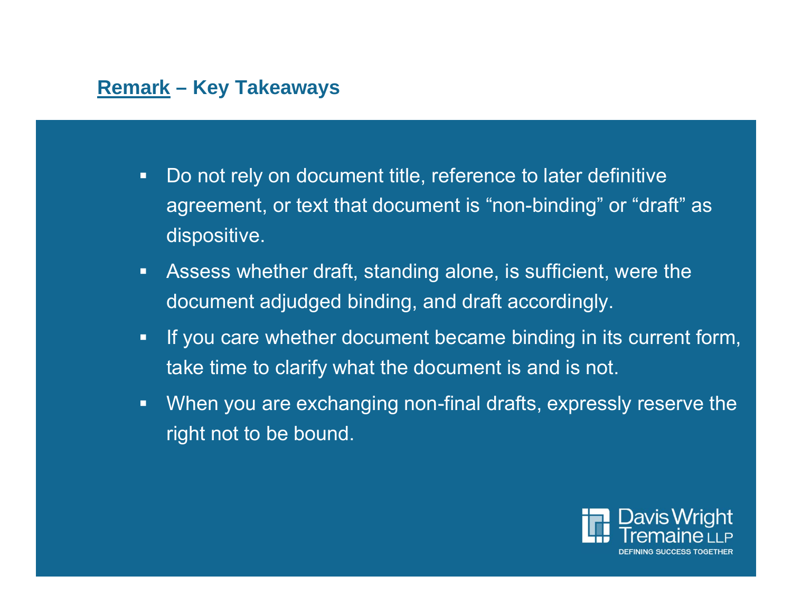# **Remark – Key Takeaways**

- $\blacksquare$  . Do not rely on document title, reference to later definitive agreement, or text that document is "non-binding" or "draft" as dispositive.
- $\blacksquare$  Assess whether draft, standing alone, is sufficient, were the document adjudged binding, and draft accordingly.
- $\blacksquare$  If you care whether document became binding in its current form, take time to clarify what the document is and is not.
- $\blacksquare$  When you are exchanging non-final drafts, expressly reserve the right not to be bound.

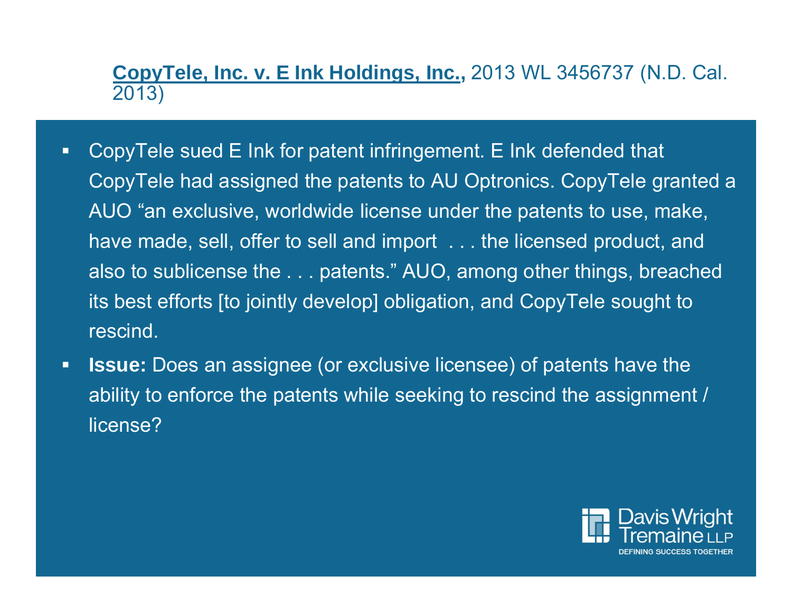# **CopyTele, Inc. v. E Ink Holdings, Inc.,** 2013 WL 3456737 (N.D. Cal. 2013)

- $\Box$  CopyTele sued E Ink for patent infringement. E Ink defended that CopyTele had assigned the patents to AU Optronics. CopyTele granted a AUO "an exclusive, worldwide license under the patents to use, make, have made, sell, offer to sell and import . . . the licensed product, and also to sublicense the . . . patents." AUO, among other things, breached its best efforts [to jointly develop] obligation, and CopyTele sought to rescind.
- $\blacksquare$  **Issue:** Does an assignee (or exclusive licensee) of patents have the ability to enforce the patents while seeking to rescind the assignment / license?

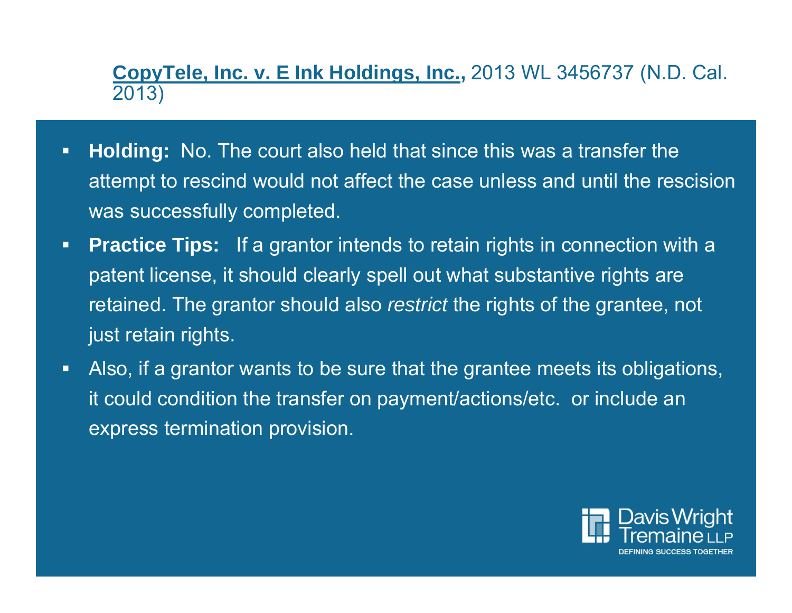**CopyTele, Inc. v. E Ink Holdings, Inc.,** 2013 WL 3456737 (N.D. Cal. 2013)

- $\Box$  **Holding:** No. The court also held that since this was a transfer the attempt to rescind would not affect the case unless and until the rescision was successfully completed.
- $\blacksquare$ **Practice Tips:** If a grantor intends to retain rights in connection with a patent license, it should clearly spell out what substantive rights are retained. The grantor should also *restrict* the rights of the grantee, not just retain rights.
- $\blacksquare$  Also, if a grantor wants to be sure that the grantee meets its obligations, it could condition the transfer on payment/actions/etc. or include an express termination provision.

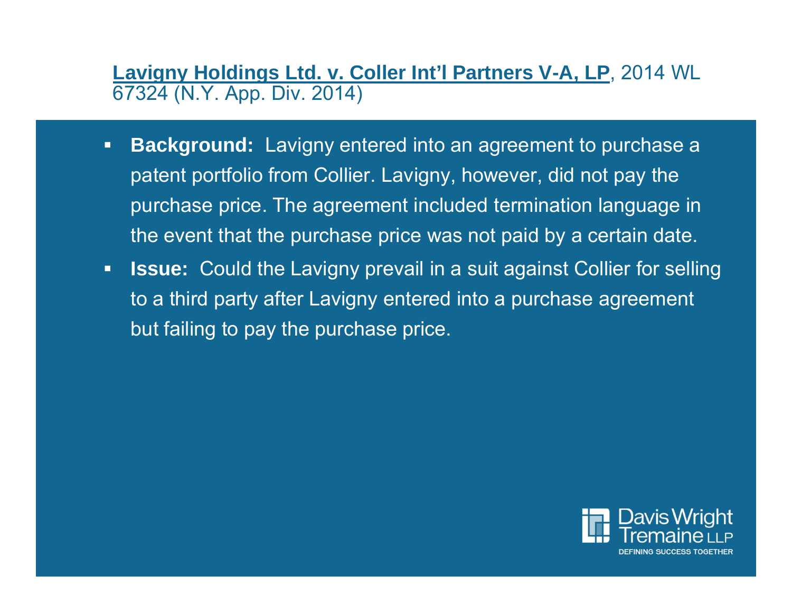**Lavigny Holdings Ltd. v. Coller Int'l Partners V-A, LP**, 2014 WL 67324 (N.Y. App. Div. 2014)

- $\blacksquare$  **Background:** Lavigny entered into an agreement to purchase a patent portfolio from Collier. Lavigny, however, did not pay the purchase price. The agreement included termination language in the event that the purchase price was not paid by a certain date.
- $\blacksquare$  **Issue:** Could the Lavigny prevail in a suit against Collier for selling to a third party after Lavigny entered into a purchase agreement but failing to pay the purchase price.

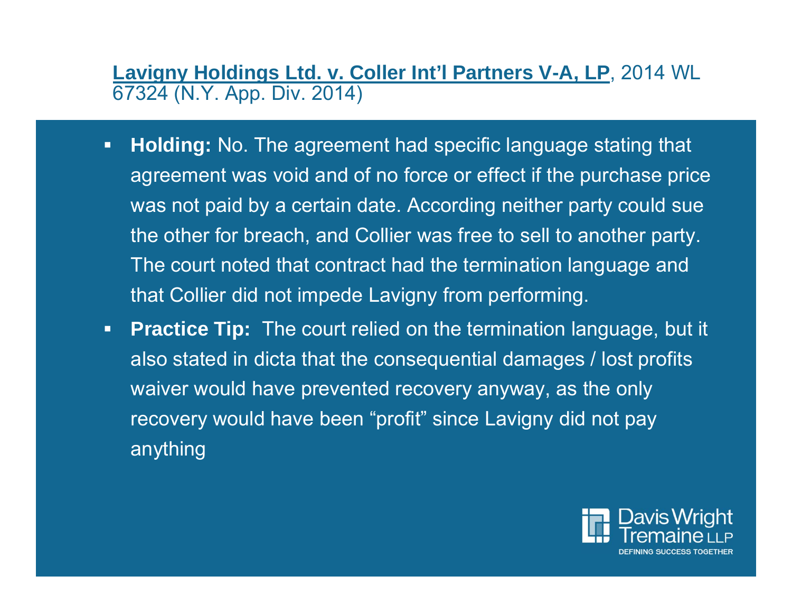**Lavigny Holdings Ltd. v. Coller Int'l Partners V-A, LP**, 2014 WL 67324 (N.Y. App. Div. 2014)

- $\blacksquare$  **Holding:** No. The agreement had specific language stating that agreement was void and of no force or effect if the purchase price was not paid by a certain date. According neither party could sue the other for breach, and Collier was free to sell to another party. The court noted that contract had the termination language and that Collier did not impede Lavigny from performing.
- $\blacksquare$ **Practice Tip:** The court relied on the termination language, but it also stated in dicta that the consequential damages / lost profits waiver would have prevented recovery anyway, as the only recovery would have been "profit" since Lavigny did not pay anything

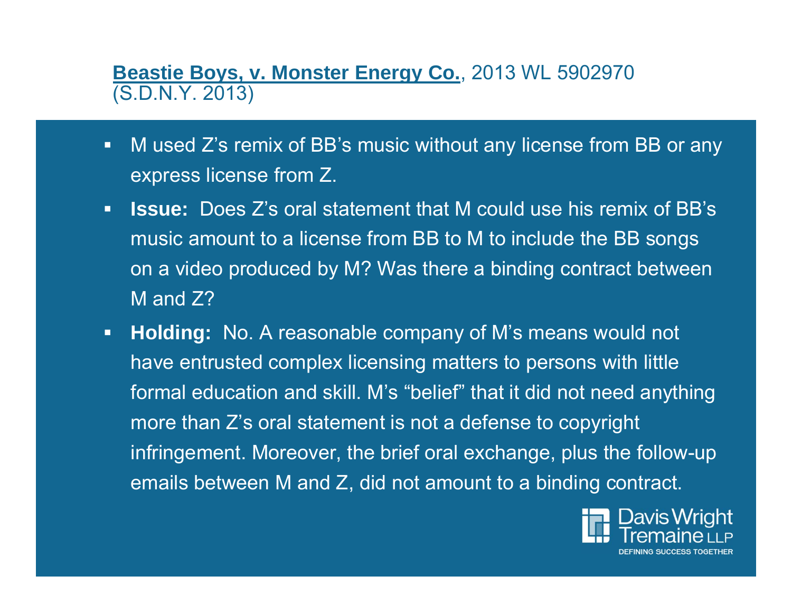**Beastie Boys, v. Monster Energy Co.**, 2013 WL 5902970 (S.D.N.Y. 2013)

- $\blacksquare$  M used Z's remix of BB's music without any license from BB or any express license from Z.
- $\mathbf{E}^{\mathbf{r}}$  **Issue:** Does Z's oral statement that M could use his remix of BB's music amount to a license from BB to M to include the BB songs on a video produced by M? Was there a binding contract between M and Z?
- $\blacksquare$  **Holding:** No. A reasonable company of M's means would not have entrusted complex licensing matters to persons with little formal education and skill. M's "belief" that it did not need anything more than Z's oral statement is not a defense to copyright infringement. Moreover, the brief oral exchange, plus the follow-up emails between M and Z, did not amount to a binding contract.

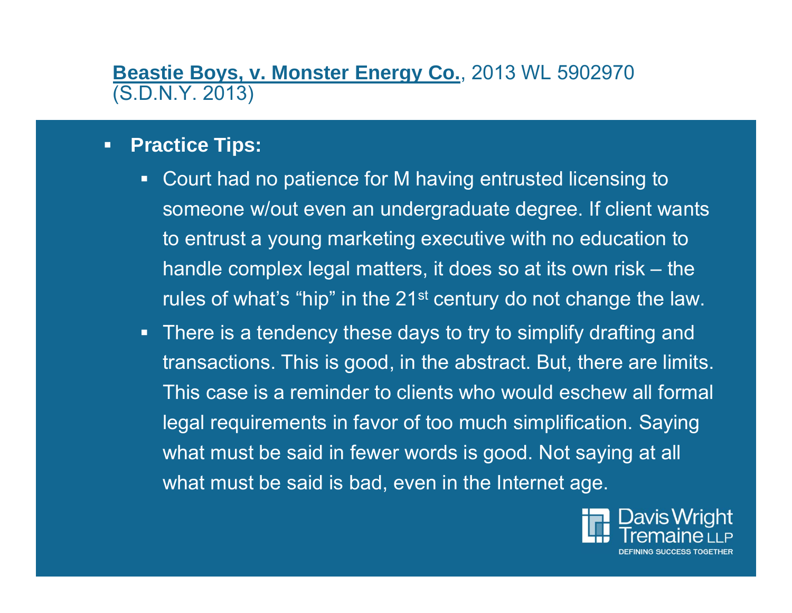# **Beastie Boys, v. Monster Energy Co.**, 2013 WL 5902970 (S.D.N.Y. 2013)

### $\blacksquare$ **Practice Tips:**

- $\blacksquare$  Court had no patience for M having entrusted licensing to someone w/out even an undergraduate degree. If client wants to entrust a young marketing executive with no education to handle complex legal matters, it does so at its own risk – the rules of what's "hip" in the 21<sup>st</sup> century do not change the law.
- There is a tendency these days to try to simplify drafting and transactions. This is good, in the abstract. But, there are limits. This case is a reminder to clients who would eschew all formal legal requirements in favor of too much simplification. Saying what must be said in fewer words is good. Not saying at all what must be said is bad, even in the Internet age.

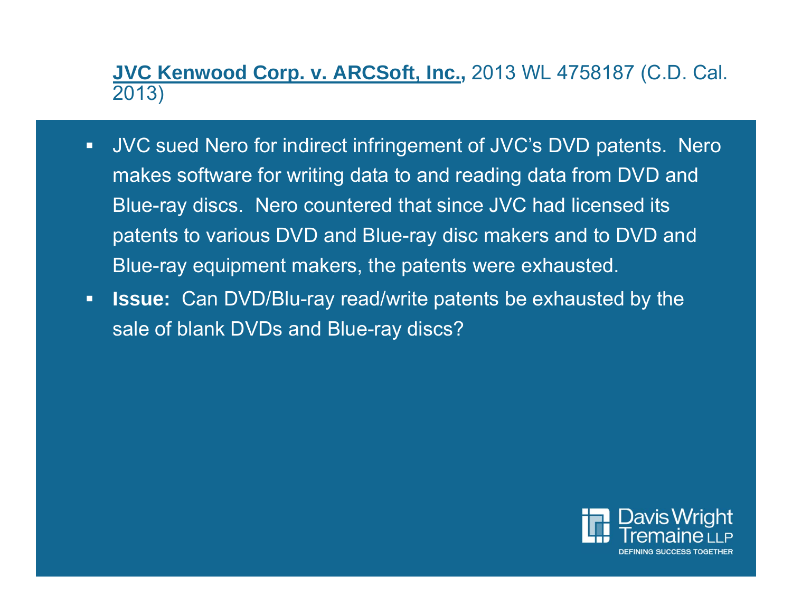**JVC Kenwood Corp. v. ARCSoft, Inc.,** 2013 WL 4758187 (C.D. Cal. 2013)

- $\blacksquare$  JVC sued Nero for indirect infringement of JVC's DVD patents. Nero makes software for writing data to and reading data from DVD and Blue-ray discs. Nero countered that since JVC had licensed its patents to various DVD and Blue-ray disc makers and to DVD and Blue-ray equipment makers, the patents were exhausted.
- $\Box$  **Issue:** Can DVD/Blu-ray read/write patents be exhausted by the sale of blank DVDs and Blue-ray discs?

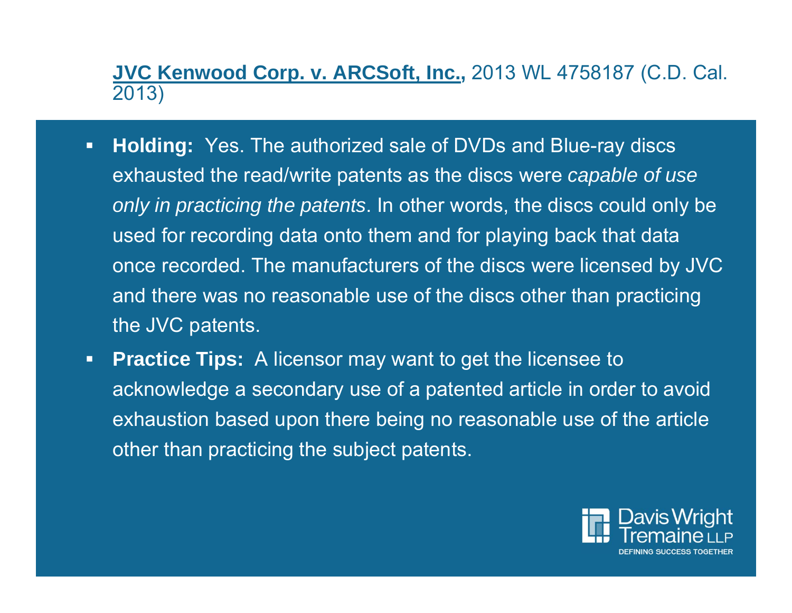**JVC Kenwood Corp. v. ARCSoft, Inc.,** 2013 WL 4758187 (C.D. Cal. 2013)

- $\blacksquare$  **Holding:** Yes. The authorized sale of DVDs and Blue-ray discs exhausted the read/write patents as the discs were *capable of use only in practicing the patents*. In other words, the discs could only be used for recording data onto them and for playing back that data once recorded. The manufacturers of the discs were licensed by JVC and there was no reasonable use of the discs other than practicing the JVC patents.
- $\blacksquare$ **Practice Tips:** A licensor may want to get the licensee to acknowledge a secondary use of a patented article in order to avoid exhaustion based upon there being no reasonable use of the article other than practicing the subject patents.

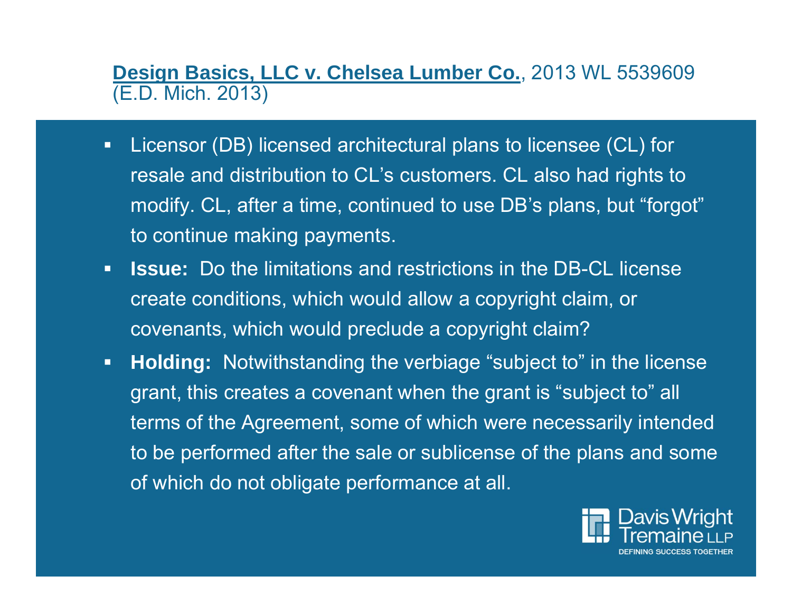**Design Basics, LLC v. Chelsea Lumber Co.**, 2013 WL 5539609 (E.D. Mich. 2013)

- $\blacksquare$  Licensor (DB) licensed architectural plans to licensee (CL) for resale and distribution to CL's customers. CL also had rights to modify. CL, after a time, continued to use DB's plans, but "forgot" to continue making payments.
- $\blacksquare$  **Issue:** Do the limitations and restrictions in the DB-CL license create conditions, which would allow a copyright claim, or covenants, which would preclude a copyright claim?
- $\blacksquare$  **Holding:** Notwithstanding the verbiage "subject to" in the license grant, this creates a covenant when the grant is "subject to" all terms of the Agreement, some of which were necessarily intended to be performed after the sale or sublicense of the plans and some of which do not obligate performance at all.

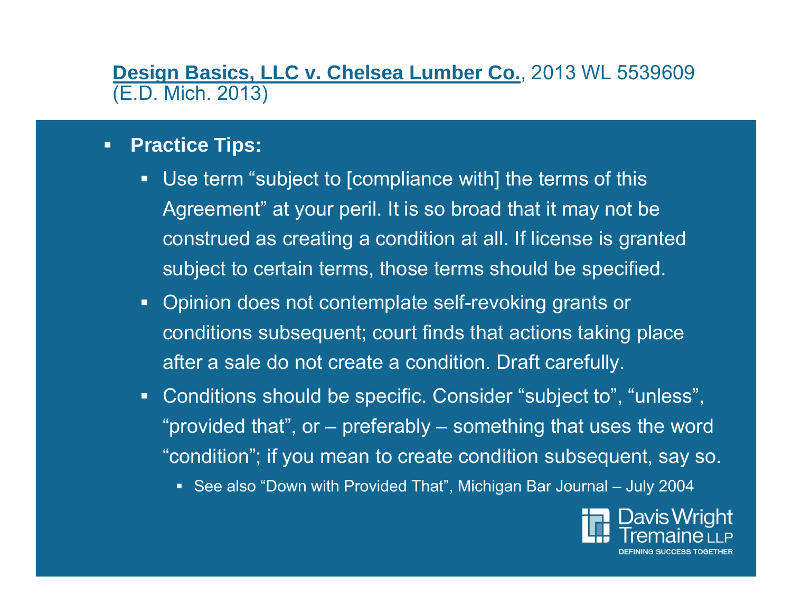**Design Basics, LLC v. Chelsea Lumber Co.**, 2013 WL 5539609 (E.D. Mich. 2013)

### $\blacksquare$ **Practice Tips:**

- $\blacksquare$ Use term "subject to [compliance with] the terms of this Agreement" at your peril. It is so broad that it may not be construed as creating a condition at all. If license is granted subject to certain terms, those terms should be specified.
- Opinion does not contemplate self-revoking grants or conditions subsequent; court finds that actions taking place after a sale do not create a condition. Draft carefully.
- Conditions should be specific. Consider "subject to", "unless", "provided that", or – preferably – something that uses the word "condition"; if you mean to create condition subsequent, say so.
	- See also "Down with Provided That", Michigan Bar Journal July 2004

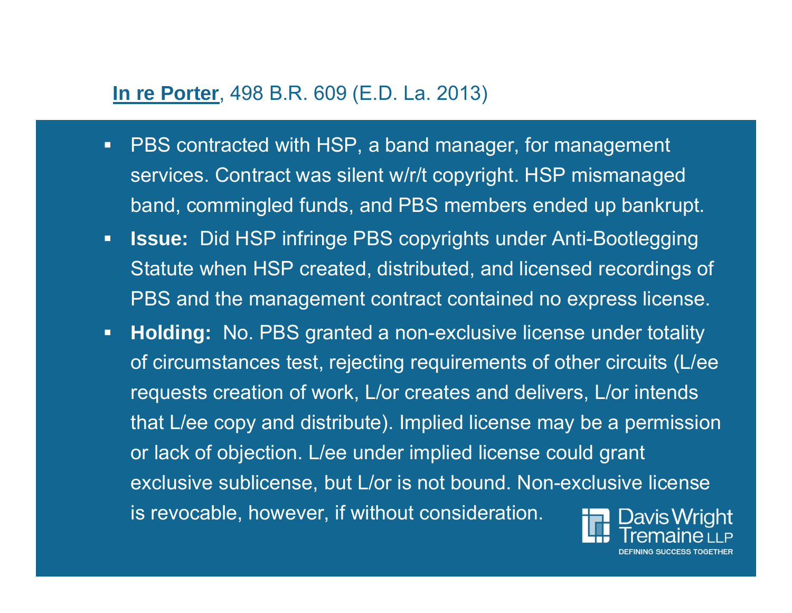## **In re Porter**, 498 B.R. 609 (E.D. La. 2013)

- $\blacksquare$  PBS contracted with HSP, a band manager, for management services. Contract was silent w/r/t copyright. HSP mismanaged band, commingled funds, and PBS members ended up bankrupt.
- $\blacksquare$  **Issue:** Did HSP infringe PBS copyrights under Anti-Bootlegging Statute when HSP created, distributed, and licensed recordings of PBS and the management contract contained no express license.
- **Holding:** No. PBS granted a non-exclusive license under totality  $\blacksquare$ of circumstances test, rejecting requirements of other circuits (L/ee requests creation of work, L/or creates and delivers, L/or intends that L/ee copy and distribute). Implied license may be a permission or lack of objection. L/ee under implied license could grant exclusive sublicense, but L/or is not bound. Non-exclusive license is revocable, however, if without consideration.Davis Wright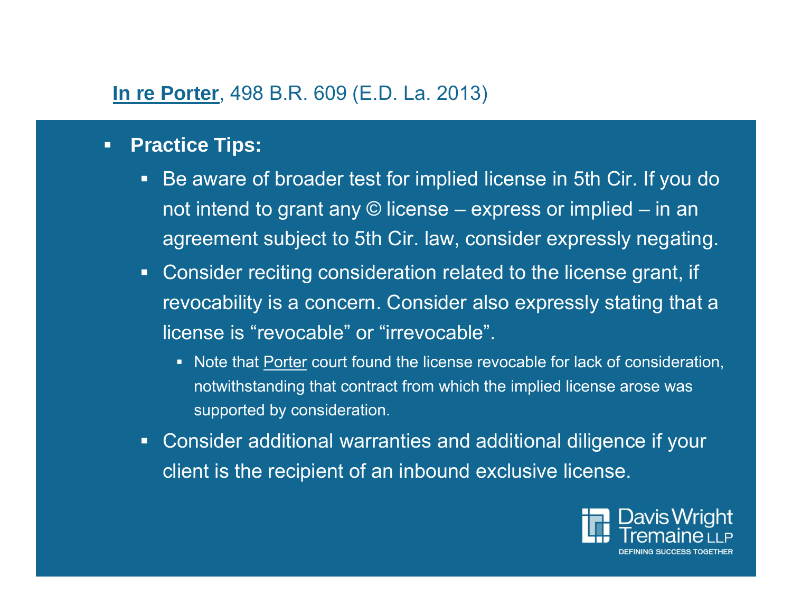# **In re Porter**, 498 B.R. 609 (E.D. La. 2013)

### $\blacksquare$ **Practice Tips:**

- $\Box$  Be aware of broader test for implied license in 5th Cir. If you do not intend to grant any © license – express or implied – in an agreement subject to 5th Cir. law, consider expressly negating.
- Consider reciting consideration related to the license grant, if revocability is a concern. Consider also expressly stating that a license is "revocable" or "irrevocable".
	- Note that Porter court found the license revocable for lack of consideration, notwithstanding that contract from which the implied license arose was supported by consideration.
- Consider additional warranties and additional diligence if your client is the recipient of an inbound exclusive license.

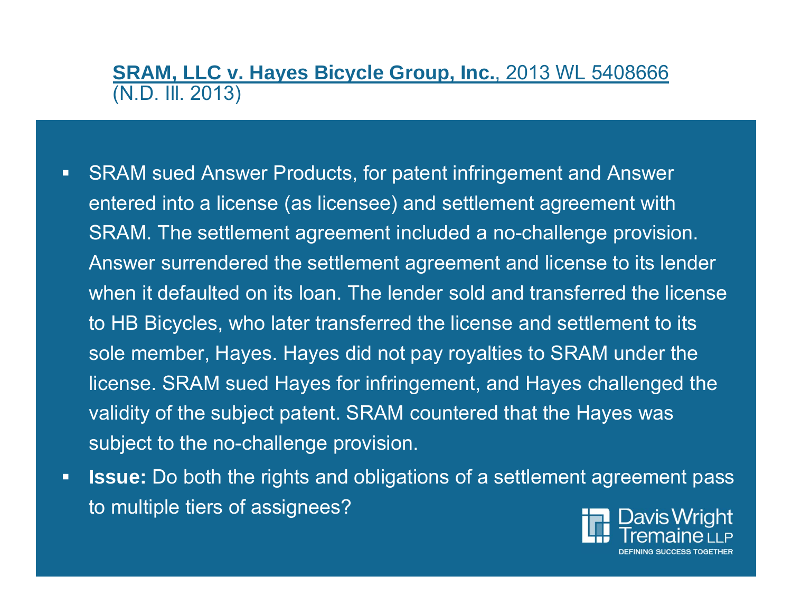# **SRAM, LLC v. Hayes Bicycle Group, Inc.**, 2013 WL 5408666 (N.D. Ill. 2013)

- $\blacksquare$  SRAM sued Answer Products, for patent infringement and Answer entered into a license (as licensee) and settlement agreement with SRAM. The settlement agreement included a no-challenge provision. Answer surrendered the settlement agreement and license to its lender when it defaulted on its loan. The lender sold and transferred the license to HB Bicycles, who later transferred the license and settlement to its sole member, Hayes. Hayes did not pay royalties to SRAM under the license. SRAM sued Hayes for infringement, and Hayes challenged the validity of the subject patent. SRAM countered that the Hayes was subject to the no-challenge provision.
- $\blacksquare$  **Issue:** Do both the rights and obligations of a settlement agreement pass to multiple tiers of assignees?

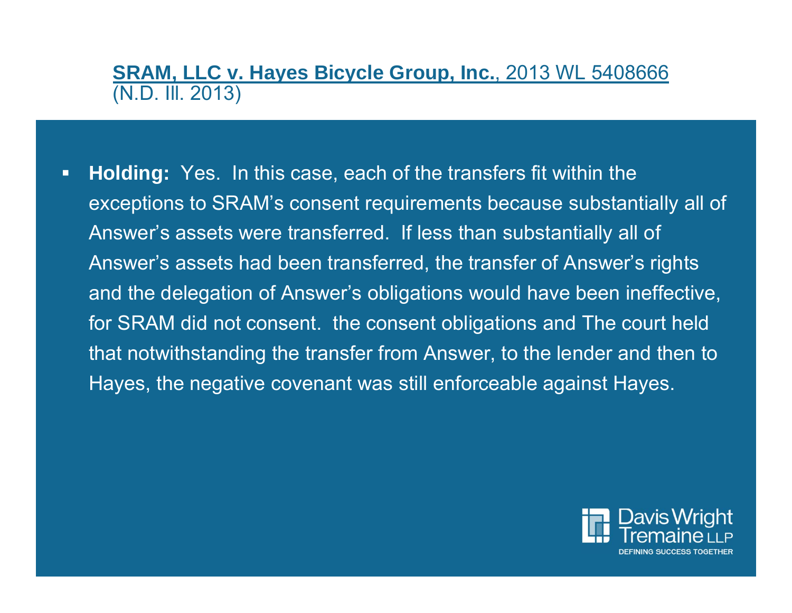# **SRAM, LLC v. Hayes Bicycle Group, Inc.**, 2013 WL 5408666 (N.D. Ill. 2013)

 $\blacksquare$  **Holding:** Yes. In this case, each of the transfers fit within the exceptions to SRAM's consent requirements because substantially all of Answer's assets were transferred. If less than substantially all of Answer's assets had been transferred, the transfer of Answer's rights and the delegation of Answer's obligations would have been ineffective, for SRAM did not consent. the consent obligations and The court held that notwithstanding the transfer from Answer, to the lender and then to Hayes, the negative covenant was still enforceable against Hayes.

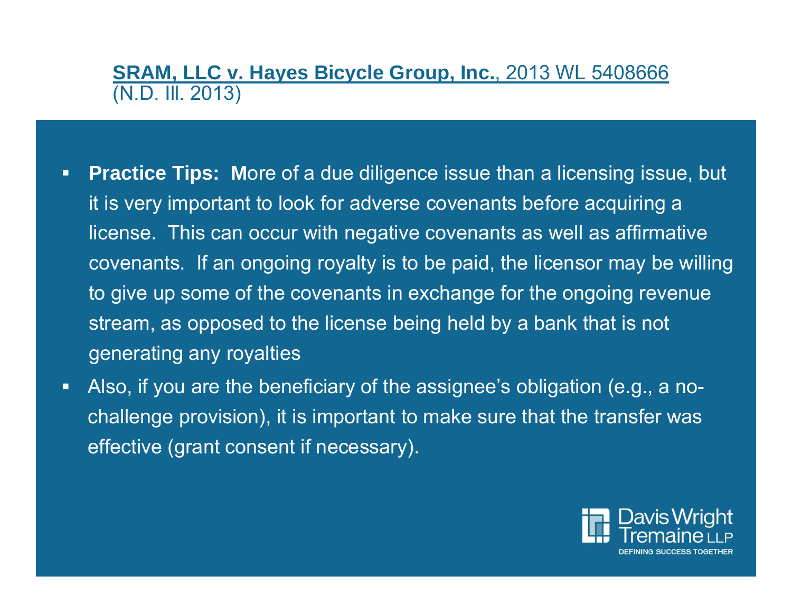# **SRAM, LLC v. Hayes Bicycle Group, Inc.**, 2013 WL 5408666 (N.D. Ill. 2013)

- **Practice Tips: More of a due diligence issue than a licensing issue, but** it is very important to look for adverse covenants before acquiring a license. This can occur with negative covenants as well as affirmative covenants. If an ongoing royalty is to be paid, the licensor may be willing to give up some of the covenants in exchange for the ongoing revenue stream, as opposed to the license being held by a bank that is not generating any royalties
- $\blacksquare$  Also, if you are the beneficiary of the assignee's obligation (e.g., a nochallenge provision), it is important to make sure that the transfer was effective (grant consent if necessary).

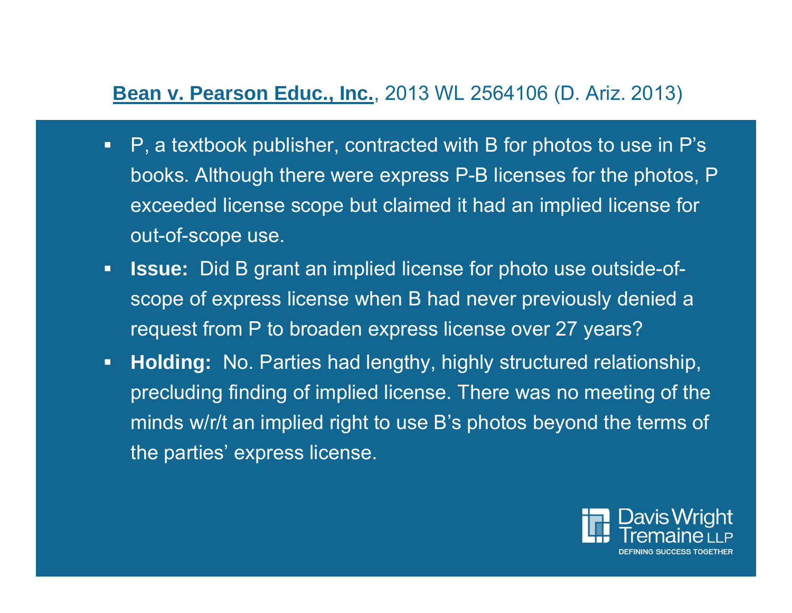# **Bean v. Pearson Educ., Inc.**, 2013 WL 2564106 (D. Ariz. 2013)

- $\blacksquare$  P, a textbook publisher, contracted with B for photos to use in P's books. Although there were express P-B licenses for the photos, P exceeded license scope but claimed it had an implied license for out-of-scope use.
- $\blacksquare$  **Issue:** Did B grant an implied license for photo use outside-ofscope of express license when B had never previously denied a request from P to broaden express license over 27 years?
- $\blacksquare$  **Holding:** No. Parties had lengthy, highly structured relationship, precluding finding of implied license. There was no meeting of the minds w/r/t an implied right to use B's photos beyond the terms of the parties' express license.

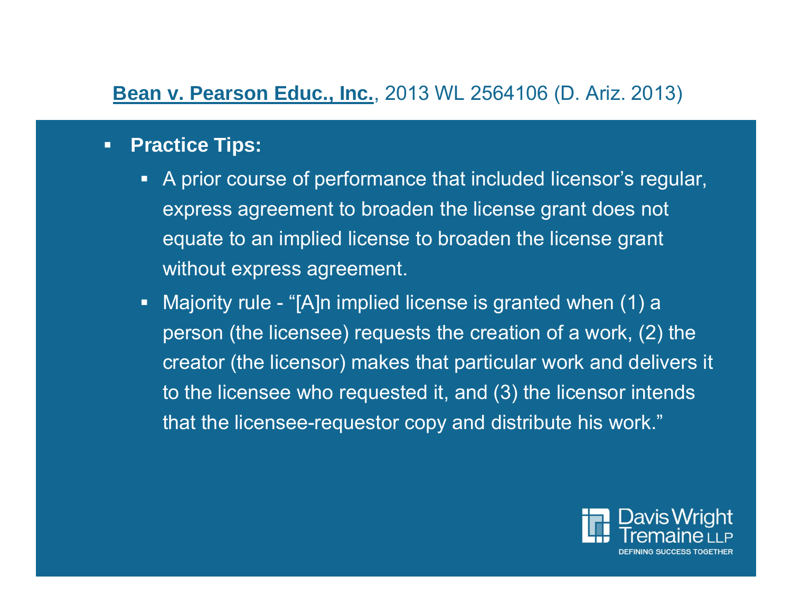# **Bean v. Pearson Educ., Inc.**, 2013 WL 2564106 (D. Ariz. 2013)

### $\blacksquare$ **Practice Tips:**

- A prior course of performance that included licensor's regular, express agreement to broaden the license grant does not equate to an implied license to broaden the license grant without express agreement.
- Majority rule "[A]n implied license is granted when (1) a person (the licensee) requests the creation of a work, (2) the creator (the licensor) makes that particular work and delivers it to the licensee who requested it, and (3) the licensor intends that the licensee-requestor copy and distribute his work."

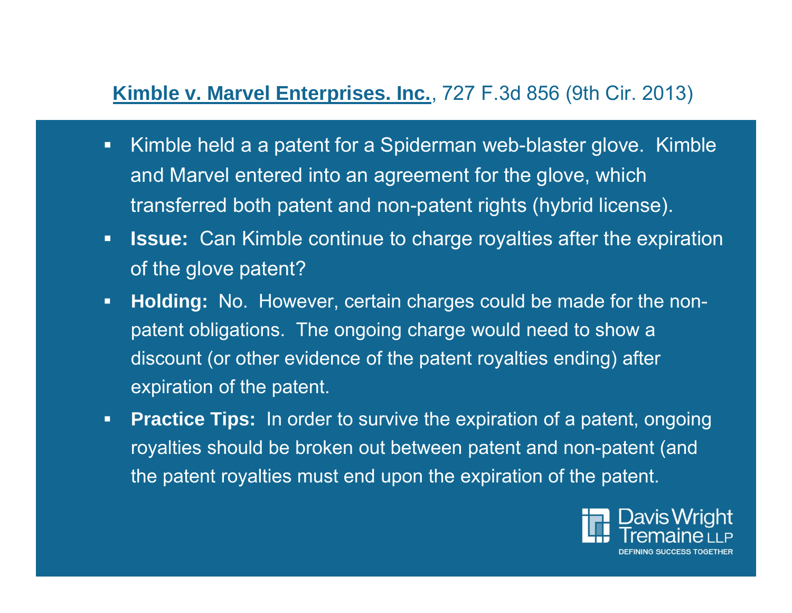# **Kimble v. Marvel Enterprises. Inc.**, 727 F.3d 856 (9th Cir. 2013)

- $\blacksquare$  Kimble held a a patent for a Spiderman web-blaster glove. Kimble and Marvel entered into an agreement for the glove, which transferred both patent and non-patent rights (hybrid license).
- $\Box$  **Issue:** Can Kimble continue to charge royalties after the expiration of the glove patent?
- $\blacksquare$  **Holding:** No. However, certain charges could be made for the nonpatent obligations. The ongoing charge would need to show a discount (or other evidence of the patent royalties ending) after expiration of the patent.
- $\blacksquare$ **Practice Tips:** In order to survive the expiration of a patent, ongoing royalties should be broken out between patent and non-patent (and the patent royalties must end upon the expiration of the patent.

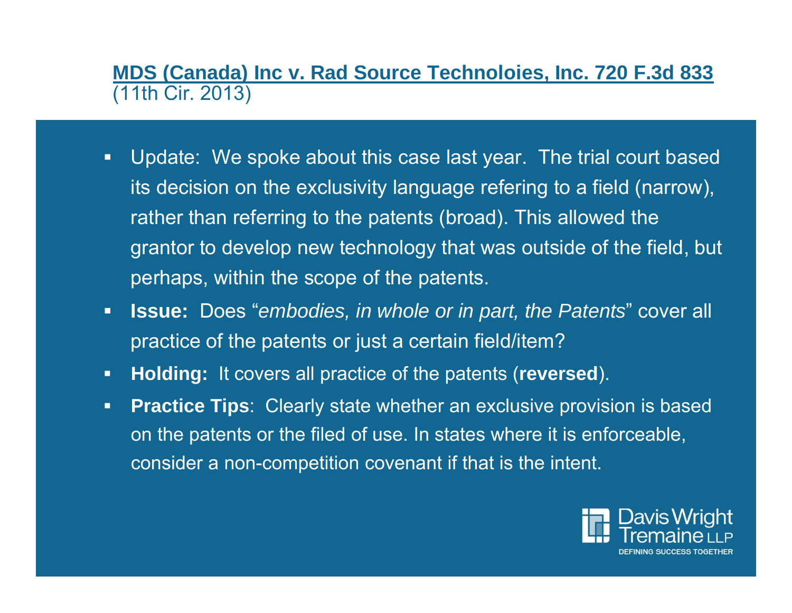**MDS (Canada) Inc v. Rad Source Technoloies, Inc. 720 F.3d 833**  (11th Cir. 2013)

- $\blacksquare$  Update: We spoke about this case last year. The trial court based its decision on the exclusivity language refering to a field (narrow), rather than referring to the patents (broad). This allowed the grantor to develop new technology that was outside of the field, but perhaps, within the scope of the patents.
- $\blacksquare$  **Issue:** Does "*embodies, in whole or in part, the Patents*" cover all practice of the patents or just a certain field/item?
- $\blacksquare$ **Holding:** It covers all practice of the patents (**reversed**).
- $\blacksquare$  **Practice Tips**: Clearly state whether an exclusive provision is based on the patents or the filed of use. In states where it is enforceable, consider a non-competition covenant if that is the intent.

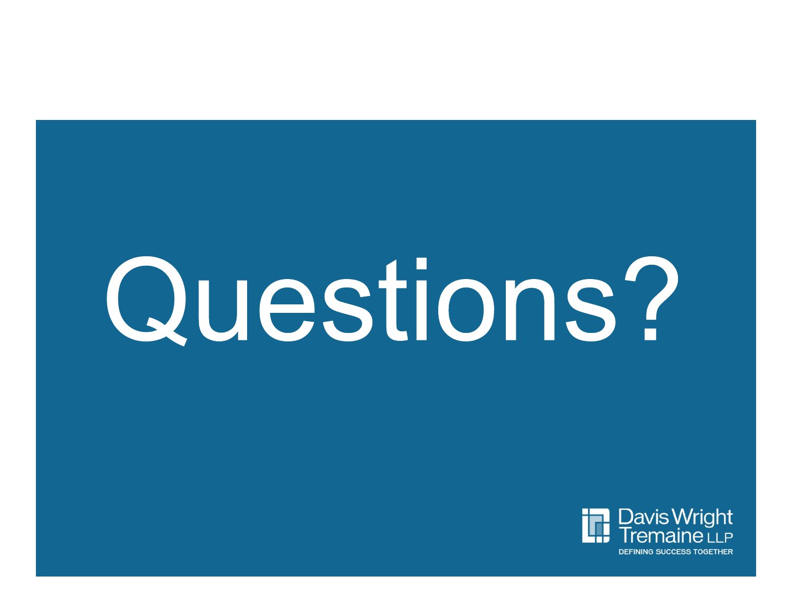# Questions?